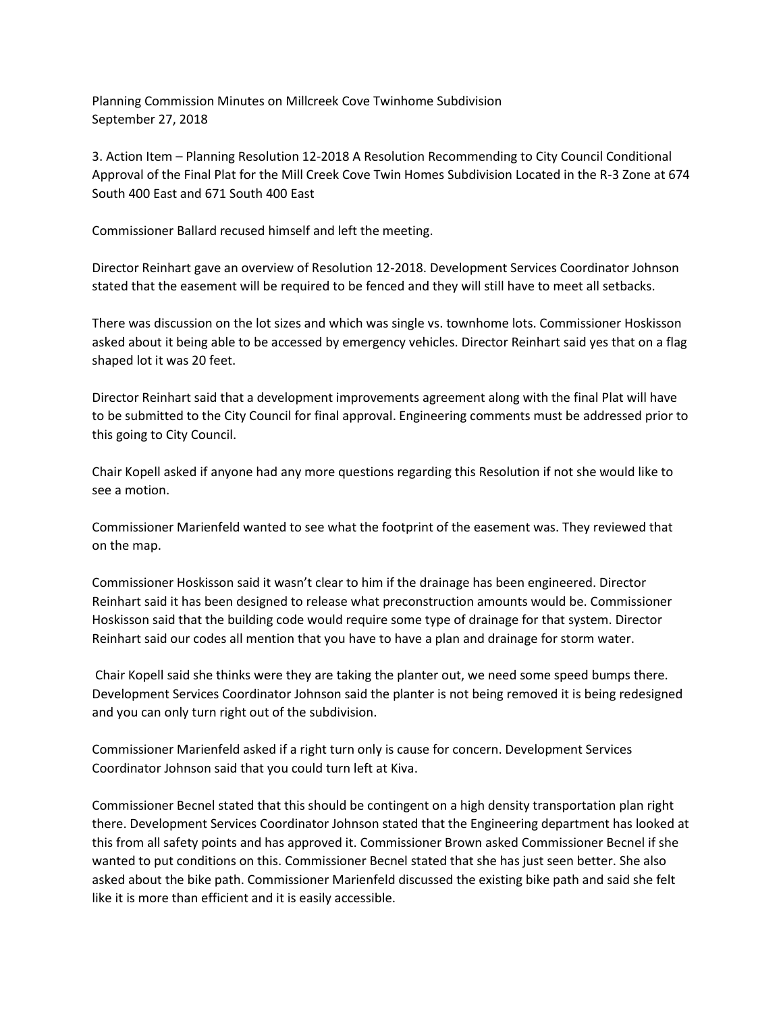Planning Commission Minutes on Millcreek Cove Twinhome Subdivision September 27, 2018

3. Action Item – Planning Resolution 12-2018 A Resolution Recommending to City Council Conditional Approval of the Final Plat for the Mill Creek Cove Twin Homes Subdivision Located in the R-3 Zone at 674 South 400 East and 671 South 400 East

Commissioner Ballard recused himself and left the meeting.

Director Reinhart gave an overview of Resolution 12-2018. Development Services Coordinator Johnson stated that the easement will be required to be fenced and they will still have to meet all setbacks.

There was discussion on the lot sizes and which was single vs. townhome lots. Commissioner Hoskisson asked about it being able to be accessed by emergency vehicles. Director Reinhart said yes that on a flag shaped lot it was 20 feet.

Director Reinhart said that a development improvements agreement along with the final Plat will have to be submitted to the City Council for final approval. Engineering comments must be addressed prior to this going to City Council.

Chair Kopell asked if anyone had any more questions regarding this Resolution if not she would like to see a motion.

Commissioner Marienfeld wanted to see what the footprint of the easement was. They reviewed that on the map.

Commissioner Hoskisson said it wasn't clear to him if the drainage has been engineered. Director Reinhart said it has been designed to release what preconstruction amounts would be. Commissioner Hoskisson said that the building code would require some type of drainage for that system. Director Reinhart said our codes all mention that you have to have a plan and drainage for storm water.

Chair Kopell said she thinks were they are taking the planter out, we need some speed bumps there. Development Services Coordinator Johnson said the planter is not being removed it is being redesigned and you can only turn right out of the subdivision.

Commissioner Marienfeld asked if a right turn only is cause for concern. Development Services Coordinator Johnson said that you could turn left at Kiva.

Commissioner Becnel stated that this should be contingent on a high density transportation plan right there. Development Services Coordinator Johnson stated that the Engineering department has looked at this from all safety points and has approved it. Commissioner Brown asked Commissioner Becnel if she wanted to put conditions on this. Commissioner Becnel stated that she has just seen better. She also asked about the bike path. Commissioner Marienfeld discussed the existing bike path and said she felt like it is more than efficient and it is easily accessible.